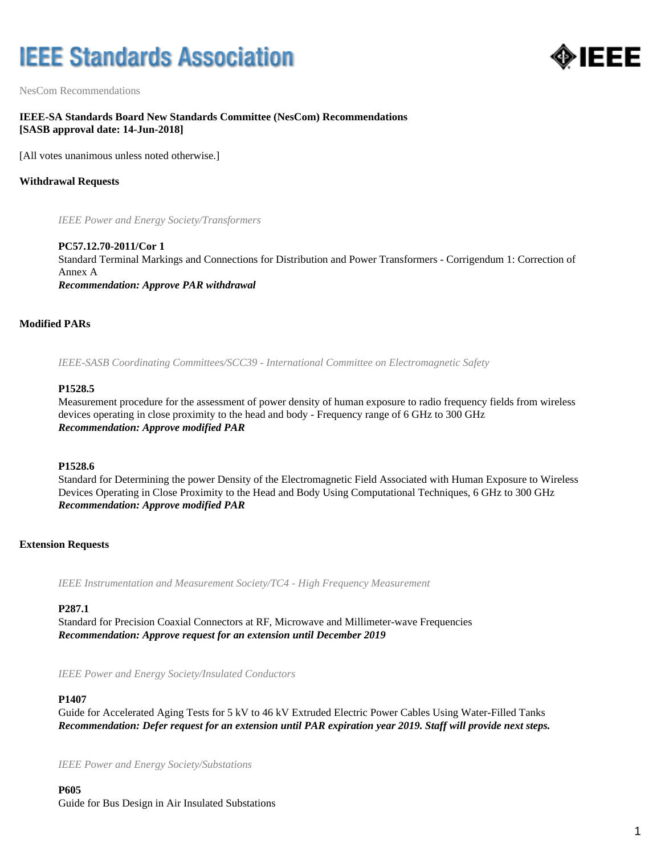# **IEEE Standards Association**



NesCom Recommendations

# **IEEE-SA Standards Board New Standards Committee (NesCom) Recommendations [SASB approval date: 14-Jun-2018]**

[All votes unanimous unless noted otherwise.]

## **Withdrawal Requests**

*IEEE Power and Energy Society/Transformers*

**PC57.12.70-2011/Cor 1** Standard Terminal Markings and Connections for Distribution and Power Transformers - Corrigendum 1: Correction of Annex A *Recommendation: Approve PAR withdrawal*

## **Modified PARs**

*IEEE-SASB Coordinating Committees/SCC39 - International Committee on Electromagnetic Safety*

#### **P1528.5**

Measurement procedure for the assessment of power density of human exposure to radio frequency fields from wireless devices operating in close proximity to the head and body - Frequency range of 6 GHz to 300 GHz *Recommendation: Approve modified PAR*

#### **P1528.6**

Standard for Determining the power Density of the Electromagnetic Field Associated with Human Exposure to Wireless Devices Operating in Close Proximity to the Head and Body Using Computational Techniques, 6 GHz to 300 GHz *Recommendation: Approve modified PAR*

#### **Extension Requests**

*IEEE Instrumentation and Measurement Society/TC4 - High Frequency Measurement*

#### **P287.1**

Standard for Precision Coaxial Connectors at RF, Microwave and Millimeter-wave Frequencies *Recommendation: Approve request for an extension until December 2019*

*IEEE Power and Energy Society/Insulated Conductors*

#### **P1407**

Guide for Accelerated Aging Tests for 5 kV to 46 kV Extruded Electric Power Cables Using Water-Filled Tanks *Recommendation: Defer request for an extension until PAR expiration year 2019. Staff will provide next steps.*

*IEEE Power and Energy Society/Substations*

**P605** Guide for Bus Design in Air Insulated Substations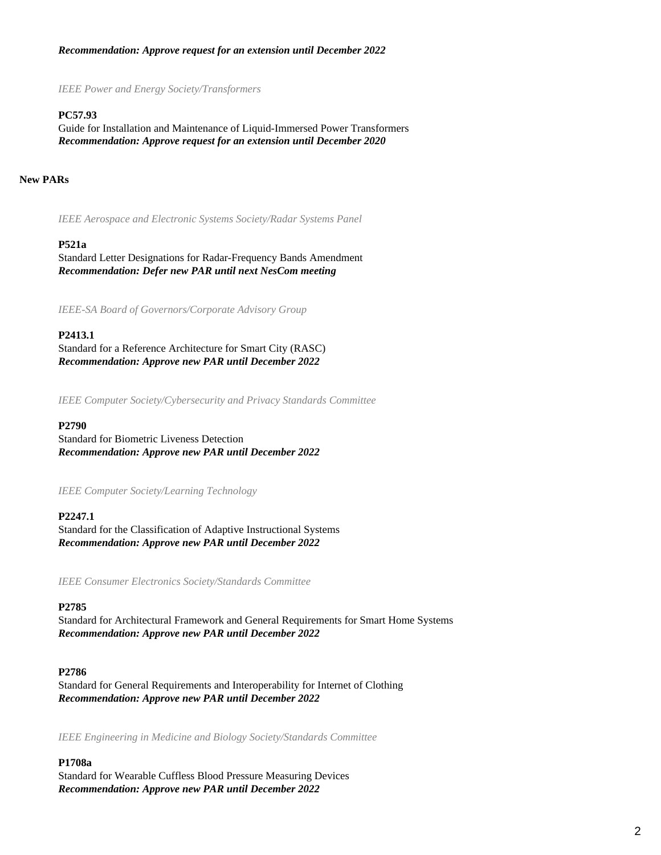# *Recommendation: Approve request for an extension until December 2022*

*IEEE Power and Energy Society/Transformers*

# **PC57.93**

Guide for Installation and Maintenance of Liquid-Immersed Power Transformers *Recommendation: Approve request for an extension until December 2020*

# **New PARs**

*IEEE Aerospace and Electronic Systems Society/Radar Systems Panel*

# **P521a**

Standard Letter Designations for Radar-Frequency Bands Amendment *Recommendation: Defer new PAR until next NesCom meeting*

*IEEE-SA Board of Governors/Corporate Advisory Group*

# **P2413.1**

Standard for a Reference Architecture for Smart City (RASC) *Recommendation: Approve new PAR until December 2022*

*IEEE Computer Society/Cybersecurity and Privacy Standards Committee*

#### **P2790**

Standard for Biometric Liveness Detection *Recommendation: Approve new PAR until December 2022*

*IEEE Computer Society/Learning Technology*

# **P2247.1**

Standard for the Classification of Adaptive Instructional Systems *Recommendation: Approve new PAR until December 2022*

*IEEE Consumer Electronics Society/Standards Committee*

# **P2785**

Standard for Architectural Framework and General Requirements for Smart Home Systems *Recommendation: Approve new PAR until December 2022*

# **P2786**

Standard for General Requirements and Interoperability for Internet of Clothing *Recommendation: Approve new PAR until December 2022*

*IEEE Engineering in Medicine and Biology Society/Standards Committee*

# **P1708a**

Standard for Wearable Cuffless Blood Pressure Measuring Devices *Recommendation: Approve new PAR until December 2022*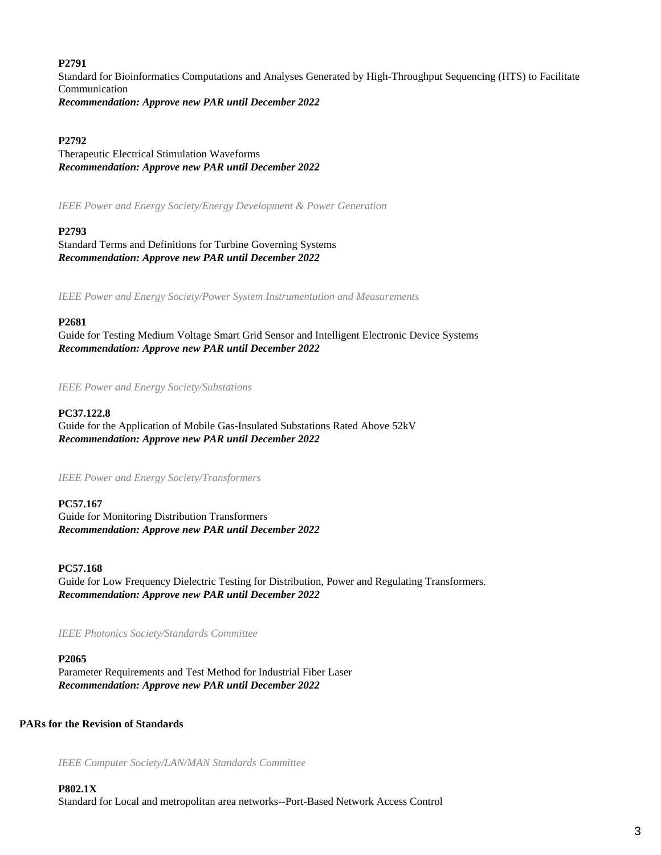#### **P2791**

Standard for Bioinformatics Computations and Analyses Generated by High-Throughput Sequencing (HTS) to Facilitate Communication *Recommendation: Approve new PAR until December 2022*

## **P2792**

Therapeutic Electrical Stimulation Waveforms *Recommendation: Approve new PAR until December 2022*

*IEEE Power and Energy Society/Energy Development & Power Generation*

# **P2793**

Standard Terms and Definitions for Turbine Governing Systems *Recommendation: Approve new PAR until December 2022*

*IEEE Power and Energy Society/Power System Instrumentation and Measurements*

## **P2681**

Guide for Testing Medium Voltage Smart Grid Sensor and Intelligent Electronic Device Systems *Recommendation: Approve new PAR until December 2022*

*IEEE Power and Energy Society/Substations*

#### **PC37.122.8**

Guide for the Application of Mobile Gas-Insulated Substations Rated Above 52kV *Recommendation: Approve new PAR until December 2022*

*IEEE Power and Energy Society/Transformers*

#### **PC57.167**

Guide for Monitoring Distribution Transformers *Recommendation: Approve new PAR until December 2022*

#### **PC57.168**

Guide for Low Frequency Dielectric Testing for Distribution, Power and Regulating Transformers. *Recommendation: Approve new PAR until December 2022*

*IEEE Photonics Society/Standards Committee*

# **P2065**

Parameter Requirements and Test Method for Industrial Fiber Laser *Recommendation: Approve new PAR until December 2022*

# **PARs for the Revision of Standards**

*IEEE Computer Society/LAN/MAN Standards Committee*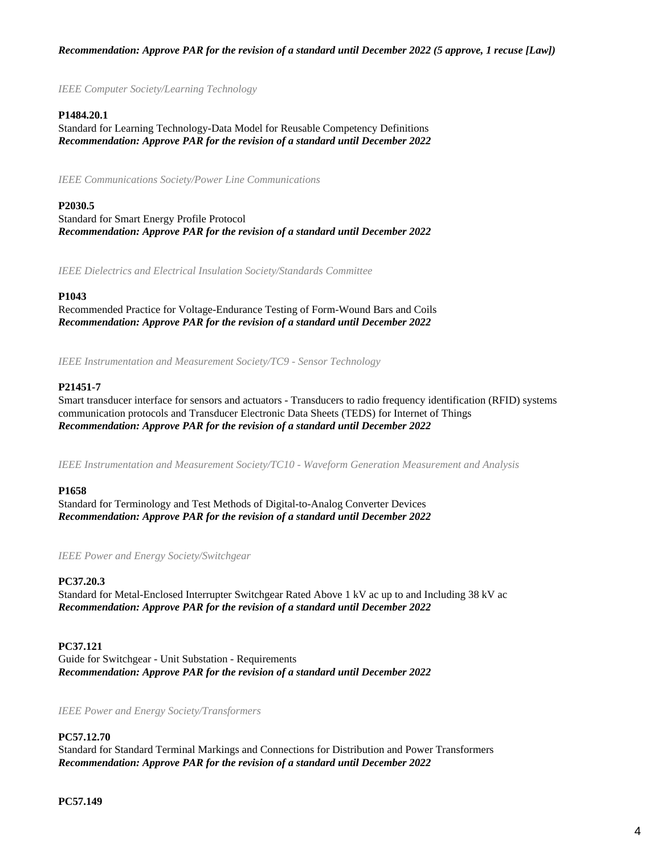# *Recommendation: Approve PAR for the revision of a standard until December 2022 (5 approve, 1 recuse [Law])*

*IEEE Computer Society/Learning Technology*

# **P1484.20.1**

Standard for Learning Technology-Data Model for Reusable Competency Definitions *Recommendation: Approve PAR for the revision of a standard until December 2022*

*IEEE Communications Society/Power Line Communications*

## **P2030.5**

Standard for Smart Energy Profile Protocol *Recommendation: Approve PAR for the revision of a standard until December 2022*

*IEEE Dielectrics and Electrical Insulation Society/Standards Committee*

## **P1043**

Recommended Practice for Voltage-Endurance Testing of Form-Wound Bars and Coils *Recommendation: Approve PAR for the revision of a standard until December 2022*

*IEEE Instrumentation and Measurement Society/TC9 - Sensor Technology*

## **P21451-7**

Smart transducer interface for sensors and actuators - Transducers to radio frequency identification (RFID) systems communication protocols and Transducer Electronic Data Sheets (TEDS) for Internet of Things *Recommendation: Approve PAR for the revision of a standard until December 2022*

*IEEE Instrumentation and Measurement Society/TC10 - Waveform Generation Measurement and Analysis*

#### **P1658**

Standard for Terminology and Test Methods of Digital-to-Analog Converter Devices *Recommendation: Approve PAR for the revision of a standard until December 2022*

*IEEE Power and Energy Society/Switchgear*

## **PC37.20.3**

Standard for Metal-Enclosed Interrupter Switchgear Rated Above 1 kV ac up to and Including 38 kV ac *Recommendation: Approve PAR for the revision of a standard until December 2022*

#### **PC37.121**

Guide for Switchgear - Unit Substation - Requirements *Recommendation: Approve PAR for the revision of a standard until December 2022*

*IEEE Power and Energy Society/Transformers*

## **PC57.12.70**

Standard for Standard Terminal Markings and Connections for Distribution and Power Transformers *Recommendation: Approve PAR for the revision of a standard until December 2022*

**PC57.149**